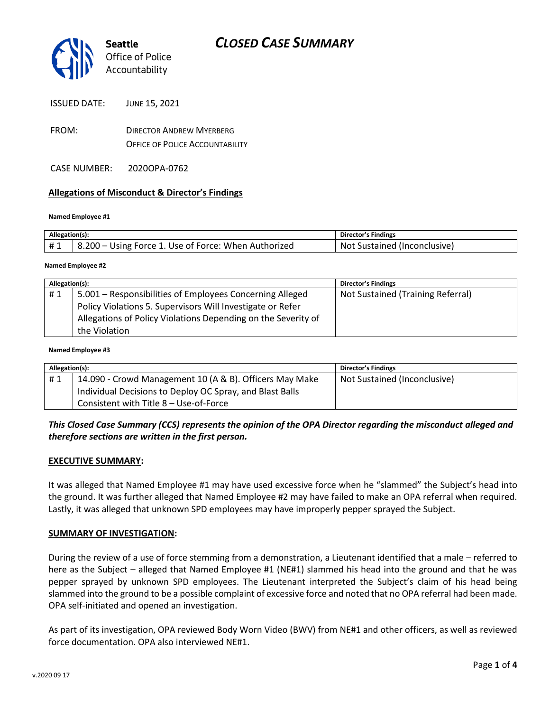

| <b>ISSUED DATE:</b> | JUNE 15, 2021 |
|---------------------|---------------|
|                     |               |

- FROM: DIRECTOR ANDREW MYERBERG OFFICE OF POLICE ACCOUNTABILITY
- CASE NUMBER: 2020OPA-0762

## **Allegations of Misconduct & Director's Findings**

#### **Named Employee #1**

| Allegation(s): |                                                      | Director's Findings                 |
|----------------|------------------------------------------------------|-------------------------------------|
| #1             | 8.200 – Using Force 1. Use of Force: When Authorized | <b>Not Sustained (Inconclusive)</b> |
|                |                                                      |                                     |

#### **Named Employee #2**

| Allegation(s): |                                                               | Director's Findings               |
|----------------|---------------------------------------------------------------|-----------------------------------|
| #1             | 5.001 - Responsibilities of Employees Concerning Alleged      | Not Sustained (Training Referral) |
|                | Policy Violations 5. Supervisors Will Investigate or Refer    |                                   |
|                | Allegations of Policy Violations Depending on the Severity of |                                   |
|                | the Violation                                                 |                                   |

#### **Named Employee #3**

| Allegation(s): |                                                          | Director's Findings          |
|----------------|----------------------------------------------------------|------------------------------|
| #1             | 14.090 - Crowd Management 10 (A & B). Officers May Make  | Not Sustained (Inconclusive) |
|                | Individual Decisions to Deploy OC Spray, and Blast Balls |                              |
|                | Consistent with Title 8 - Use-of-Force                   |                              |

## *This Closed Case Summary (CCS) represents the opinion of the OPA Director regarding the misconduct alleged and therefore sections are written in the first person.*

### **EXECUTIVE SUMMARY:**

It was alleged that Named Employee #1 may have used excessive force when he "slammed" the Subject's head into the ground. It was further alleged that Named Employee #2 may have failed to make an OPA referral when required. Lastly, it was alleged that unknown SPD employees may have improperly pepper sprayed the Subject.

### **SUMMARY OF INVESTIGATION:**

During the review of a use of force stemming from a demonstration, a Lieutenant identified that a male – referred to here as the Subject – alleged that Named Employee #1 (NE#1) slammed his head into the ground and that he was pepper sprayed by unknown SPD employees. The Lieutenant interpreted the Subject's claim of his head being slammed into the ground to be a possible complaint of excessive force and noted that no OPA referral had been made. OPA self-initiated and opened an investigation.

As part of its investigation, OPA reviewed Body Worn Video (BWV) from NE#1 and other officers, as well as reviewed force documentation. OPA also interviewed NE#1.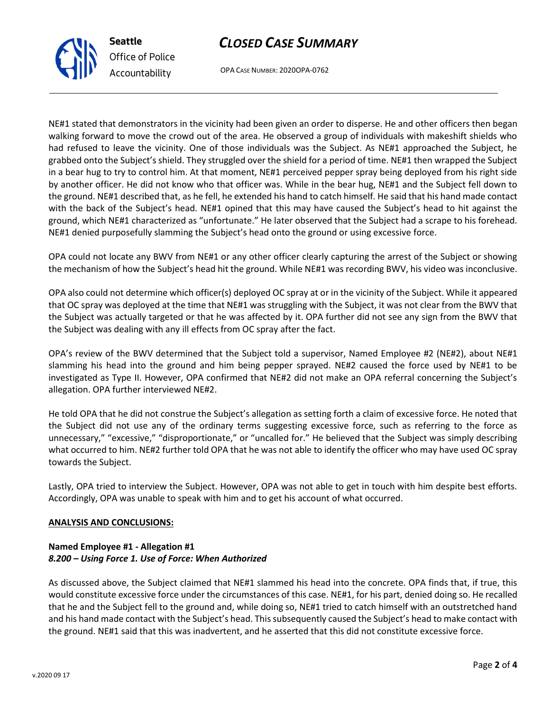# *CLOSED CASE SUMMARY*



OPA CASE NUMBER: 2020OPA-0762

NE#1 stated that demonstrators in the vicinity had been given an order to disperse. He and other officers then began walking forward to move the crowd out of the area. He observed a group of individuals with makeshift shields who had refused to leave the vicinity. One of those individuals was the Subject. As NE#1 approached the Subject, he grabbed onto the Subject's shield. They struggled over the shield for a period of time. NE#1 then wrapped the Subject in a bear hug to try to control him. At that moment, NE#1 perceived pepper spray being deployed from his right side by another officer. He did not know who that officer was. While in the bear hug, NE#1 and the Subject fell down to the ground. NE#1 described that, as he fell, he extended his hand to catch himself. He said that his hand made contact with the back of the Subject's head. NE#1 opined that this may have caused the Subject's head to hit against the ground, which NE#1 characterized as "unfortunate." He later observed that the Subject had a scrape to his forehead. NE#1 denied purposefully slamming the Subject's head onto the ground or using excessive force.

OPA could not locate any BWV from NE#1 or any other officer clearly capturing the arrest of the Subject or showing the mechanism of how the Subject's head hit the ground. While NE#1 was recording BWV, his video was inconclusive.

OPA also could not determine which officer(s) deployed OC spray at or in the vicinity of the Subject. While it appeared that OC spray was deployed at the time that NE#1 was struggling with the Subject, it was not clear from the BWV that the Subject was actually targeted or that he was affected by it. OPA further did not see any sign from the BWV that the Subject was dealing with any ill effects from OC spray after the fact.

OPA's review of the BWV determined that the Subject told a supervisor, Named Employee #2 (NE#2), about NE#1 slamming his head into the ground and him being pepper sprayed. NE#2 caused the force used by NE#1 to be investigated as Type II. However, OPA confirmed that NE#2 did not make an OPA referral concerning the Subject's allegation. OPA further interviewed NE#2.

He told OPA that he did not construe the Subject's allegation as setting forth a claim of excessive force. He noted that the Subject did not use any of the ordinary terms suggesting excessive force, such as referring to the force as unnecessary," "excessive," "disproportionate," or "uncalled for." He believed that the Subject was simply describing what occurred to him. NE#2 further told OPA that he was not able to identify the officer who may have used OC spray towards the Subject.

Lastly, OPA tried to interview the Subject. However, OPA was not able to get in touch with him despite best efforts. Accordingly, OPA was unable to speak with him and to get his account of what occurred.

## **ANALYSIS AND CONCLUSIONS:**

## **Named Employee #1 - Allegation #1** *8.200 – Using Force 1. Use of Force: When Authorized*

As discussed above, the Subject claimed that NE#1 slammed his head into the concrete. OPA finds that, if true, this would constitute excessive force under the circumstances of this case. NE#1, for his part, denied doing so. He recalled that he and the Subject fell to the ground and, while doing so, NE#1 tried to catch himself with an outstretched hand and his hand made contact with the Subject's head. This subsequently caused the Subject's head to make contact with the ground. NE#1 said that this was inadvertent, and he asserted that this did not constitute excessive force.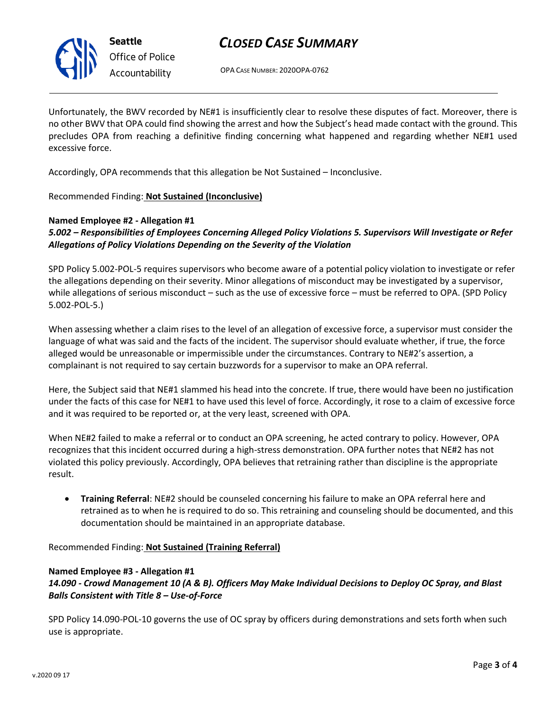

**Seattle** *Office of Police Accountability*

# *CLOSED CASE SUMMARY*

OPA CASE NUMBER: 2020OPA-0762

Unfortunately, the BWV recorded by NE#1 is insufficiently clear to resolve these disputes of fact. Moreover, there is no other BWV that OPA could find showing the arrest and how the Subject's head made contact with the ground. This precludes OPA from reaching a definitive finding concerning what happened and regarding whether NE#1 used excessive force.

Accordingly, OPA recommends that this allegation be Not Sustained – Inconclusive.

Recommended Finding: **Not Sustained (Inconclusive)**

## **Named Employee #2 - Allegation #1** *5.002 – Responsibilities of Employees Concerning Alleged Policy Violations 5. Supervisors Will Investigate or Refer Allegations of Policy Violations Depending on the Severity of the Violation*

SPD Policy 5.002-POL-5 requires supervisors who become aware of a potential policy violation to investigate or refer the allegations depending on their severity. Minor allegations of misconduct may be investigated by a supervisor, while allegations of serious misconduct – such as the use of excessive force – must be referred to OPA. (SPD Policy 5.002-POL-5.)

When assessing whether a claim rises to the level of an allegation of excessive force, a supervisor must consider the language of what was said and the facts of the incident. The supervisor should evaluate whether, if true, the force alleged would be unreasonable or impermissible under the circumstances. Contrary to NE#2's assertion, a complainant is not required to say certain buzzwords for a supervisor to make an OPA referral.

Here, the Subject said that NE#1 slammed his head into the concrete. If true, there would have been no justification under the facts of this case for NE#1 to have used this level of force. Accordingly, it rose to a claim of excessive force and it was required to be reported or, at the very least, screened with OPA.

When NE#2 failed to make a referral or to conduct an OPA screening, he acted contrary to policy. However, OPA recognizes that this incident occurred during a high-stress demonstration. OPA further notes that NE#2 has not violated this policy previously. Accordingly, OPA believes that retraining rather than discipline is the appropriate result.

• **Training Referral**: NE#2 should be counseled concerning his failure to make an OPA referral here and retrained as to when he is required to do so. This retraining and counseling should be documented, and this documentation should be maintained in an appropriate database.

Recommended Finding: **Not Sustained (Training Referral)**

## **Named Employee #3 - Allegation #1**

*14.090 - Crowd Management 10 (A & B). Officers May Make Individual Decisions to Deploy OC Spray, and Blast Balls Consistent with Title 8 – Use-of-Force*

SPD Policy 14.090-POL-10 governs the use of OC spray by officers during demonstrations and sets forth when such use is appropriate.